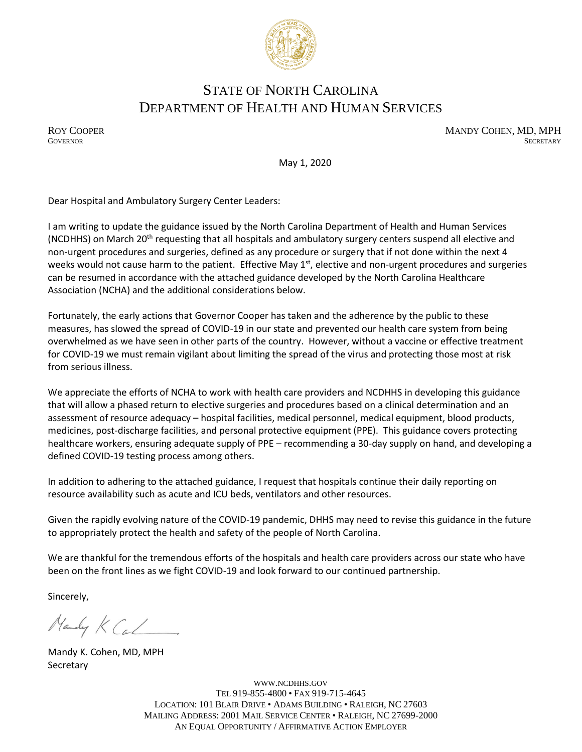

# STATE OF NORTH CAROLINA DEPARTMENT OF HEALTH AND HUMAN SERVICES

ROY COOPER MANDY COHEN, MD, MPH GOVERNOR SECRETARY **GOVERNOR** SECRETARY SECRETARY

May 1, 2020

Dear Hospital and Ambulatory Surgery Center Leaders:

I am writing to update the guidance issued by the North Carolina Department of Health and Human Services (NCDHHS) on March 20<sup>th</sup> requesting that all hospitals and ambulatory surgery centers suspend all elective and non-urgent procedures and surgeries, defined as any procedure or surgery that if not done within the next 4 weeks would not cause harm to the patient. Effective May 1<sup>st</sup>, elective and non-urgent procedures and surgeries can be resumed in accordance with the attached guidance developed by the North Carolina Healthcare Association (NCHA) and the additional considerations below.

Fortunately, the early actions that Governor Cooper has taken and the adherence by the public to these measures, has slowed the spread of COVID-19 in our state and prevented our health care system from being overwhelmed as we have seen in other parts of the country. However, without a vaccine or effective treatment for COVID-19 we must remain vigilant about limiting the spread of the virus and protecting those most at risk from serious illness.

We appreciate the efforts of NCHA to work with health care providers and NCDHHS in developing this guidance that will allow a phased return to elective surgeries and procedures based on a clinical determination and an assessment of resource adequacy – hospital facilities, medical personnel, medical equipment, blood products, medicines, post-discharge facilities, and personal protective equipment (PPE). This guidance covers protecting healthcare workers, ensuring adequate supply of PPE – recommending a 30-day supply on hand, and developing a defined COVID-19 testing process among others.

In addition to adhering to the attached guidance, I request that hospitals continue their daily reporting on resource availability such as acute and ICU beds, ventilators and other resources.

Given the rapidly evolving nature of the COVID-19 pandemic, DHHS may need to revise this guidance in the future to appropriately protect the health and safety of the people of North Carolina.

We are thankful for the tremendous efforts of the hospitals and health care providers across our state who have been on the front lines as we fight COVID-19 and look forward to our continued partnership.

Sincerely,

Handy K Cal

Mandy K. Cohen, MD, MPH **Secretary** 

WWW.[NCDHHS](http://www.ncdhhs.gov/).GOV TEL 919-855-4800 • FAX 919-715-4645 LOCATION: 101 BLAIR DRIVE • ADAMS BUILDING • RALEIGH, NC 27603 MAILING ADDRESS: 2001 MAIL SERVICE CENTER • RALEIGH, NC 27699-2000 AN EQUAL OPPORTUNITY / AFFIRMATIVE ACTION EMPLOYER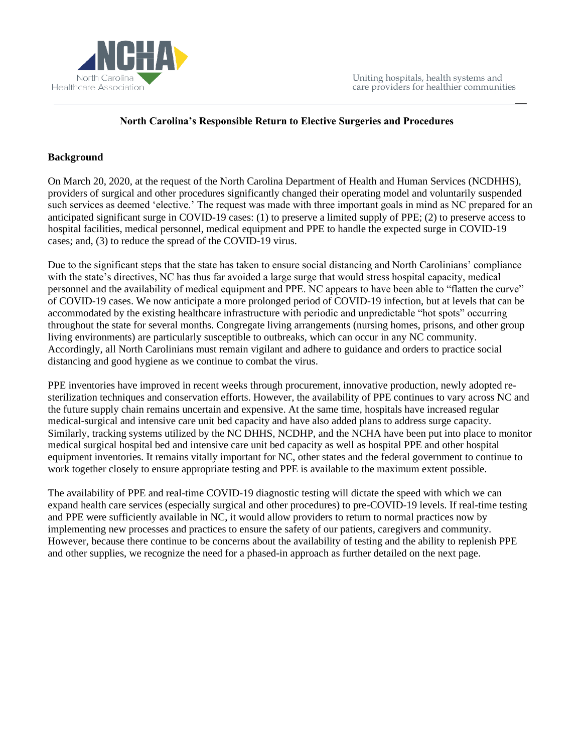

 $\overline{\phantom{a}}$ 

### **North Carolina's Responsible Return to Elective Surgeries and Procedures**

### **Background**

On March 20, 2020, at the request of the North Carolina Department of Health and Human Services (NCDHHS), providers of surgical and other procedures significantly changed their operating model and voluntarily suspended such services as deemed 'elective.' The request was made with three important goals in mind as NC prepared for an anticipated significant surge in COVID-19 cases: (1) to preserve a limited supply of PPE; (2) to preserve access to hospital facilities, medical personnel, medical equipment and PPE to handle the expected surge in COVID-19 cases; and, (3) to reduce the spread of the COVID-19 virus.

Due to the significant steps that the state has taken to ensure social distancing and North Carolinians' compliance with the state's directives, NC has thus far avoided a large surge that would stress hospital capacity, medical personnel and the availability of medical equipment and PPE. NC appears to have been able to "flatten the curve" of COVID-19 cases. We now anticipate a more prolonged period of COVID-19 infection, but at levels that can be accommodated by the existing healthcare infrastructure with periodic and unpredictable "hot spots" occurring throughout the state for several months. Congregate living arrangements (nursing homes, prisons, and other group living environments) are particularly susceptible to outbreaks, which can occur in any NC community. Accordingly, all North Carolinians must remain vigilant and adhere to guidance and orders to practice social distancing and good hygiene as we continue to combat the virus.

PPE inventories have improved in recent weeks through procurement, innovative production, newly adopted resterilization techniques and conservation efforts. However, the availability of PPE continues to vary across NC and the future supply chain remains uncertain and expensive. At the same time, hospitals have increased regular medical-surgical and intensive care unit bed capacity and have also added plans to address surge capacity. Similarly, tracking systems utilized by the NC DHHS, NCDHP, and the NCHA have been put into place to monitor medical surgical hospital bed and intensive care unit bed capacity as well as hospital PPE and other hospital equipment inventories. It remains vitally important for NC, other states and the federal government to continue to work together closely to ensure appropriate testing and PPE is available to the maximum extent possible.

The availability of PPE and real-time COVID-19 diagnostic testing will dictate the speed with which we can expand health care services (especially surgical and other procedures) to pre-COVID-19 levels. If real-time testing and PPE were sufficiently available in NC, it would allow providers to return to normal practices now by implementing new processes and practices to ensure the safety of our patients, caregivers and community. However, because there continue to be concerns about the availability of testing and the ability to replenish PPE and other supplies, we recognize the need for a phased-in approach as further detailed on the next page.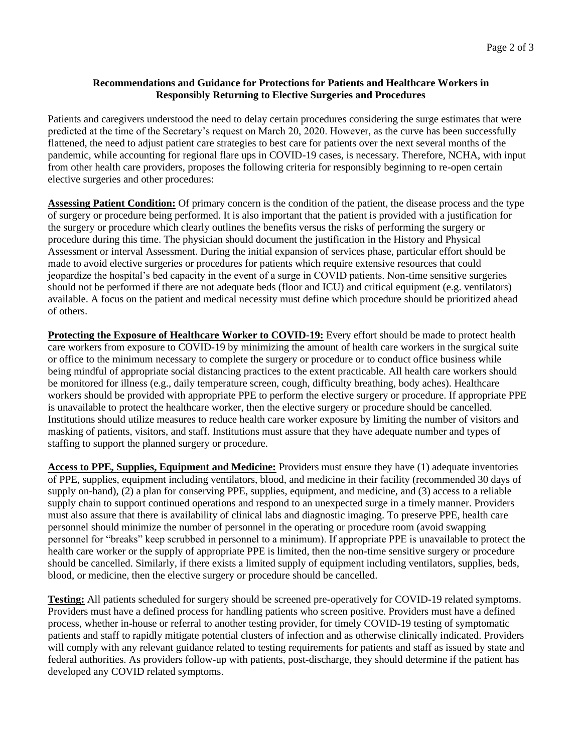#### **Recommendations and Guidance for Protections for Patients and Healthcare Workers in Responsibly Returning to Elective Surgeries and Procedures**

Patients and caregivers understood the need to delay certain procedures considering the surge estimates that were predicted at the time of the Secretary's request on March 20, 2020. However, as the curve has been successfully flattened, the need to adjust patient care strategies to best care for patients over the next several months of the pandemic, while accounting for regional flare ups in COVID-19 cases, is necessary. Therefore, NCHA, with input from other health care providers, proposes the following criteria for responsibly beginning to re-open certain elective surgeries and other procedures:

**Assessing Patient Condition:** Of primary concern is the condition of the patient, the disease process and the type of surgery or procedure being performed. It is also important that the patient is provided with a justification for the surgery or procedure which clearly outlines the benefits versus the risks of performing the surgery or procedure during this time. The physician should document the justification in the History and Physical Assessment or interval Assessment. During the initial expansion of services phase, particular effort should be made to avoid elective surgeries or procedures for patients which require extensive resources that could jeopardize the hospital's bed capacity in the event of a surge in COVID patients. Non-time sensitive surgeries should not be performed if there are not adequate beds (floor and ICU) and critical equipment (e.g. ventilators) available. A focus on the patient and medical necessity must define which procedure should be prioritized ahead of others.

**Protecting the Exposure of Healthcare Worker to COVID-19:** Every effort should be made to protect health care workers from exposure to COVID-19 by minimizing the amount of health care workers in the surgical suite or office to the minimum necessary to complete the surgery or procedure or to conduct office business while being mindful of appropriate social distancing practices to the extent practicable. All health care workers should be monitored for illness (e.g., daily temperature screen, cough, difficulty breathing, body aches). Healthcare workers should be provided with appropriate PPE to perform the elective surgery or procedure. If appropriate PPE is unavailable to protect the healthcare worker, then the elective surgery or procedure should be cancelled. Institutions should utilize measures to reduce health care worker exposure by limiting the number of visitors and masking of patients, visitors, and staff. Institutions must assure that they have adequate number and types of staffing to support the planned surgery or procedure.

**Access to PPE, Supplies, Equipment and Medicine:** Providers must ensure they have (1) adequate inventories of PPE, supplies, equipment including ventilators, blood, and medicine in their facility (recommended 30 days of supply on-hand), (2) a plan for conserving PPE, supplies, equipment, and medicine, and (3) access to a reliable supply chain to support continued operations and respond to an unexpected surge in a timely manner. Providers must also assure that there is availability of clinical labs and diagnostic imaging. To preserve PPE, health care personnel should minimize the number of personnel in the operating or procedure room (avoid swapping personnel for "breaks" keep scrubbed in personnel to a minimum). If appropriate PPE is unavailable to protect the health care worker or the supply of appropriate PPE is limited, then the non-time sensitive surgery or procedure should be cancelled. Similarly, if there exists a limited supply of equipment including ventilators, supplies, beds, blood, or medicine, then the elective surgery or procedure should be cancelled.

**Testing:** All patients scheduled for surgery should be screened pre-operatively for COVID-19 related symptoms. Providers must have a defined process for handling patients who screen positive. Providers must have a defined process, whether in-house or referral to another testing provider, for timely COVID-19 testing of symptomatic patients and staff to rapidly mitigate potential clusters of infection and as otherwise clinically indicated. Providers will comply with any relevant guidance related to testing requirements for patients and staff as issued by state and federal authorities. As providers follow-up with patients, post-discharge, they should determine if the patient has developed any COVID related symptoms.